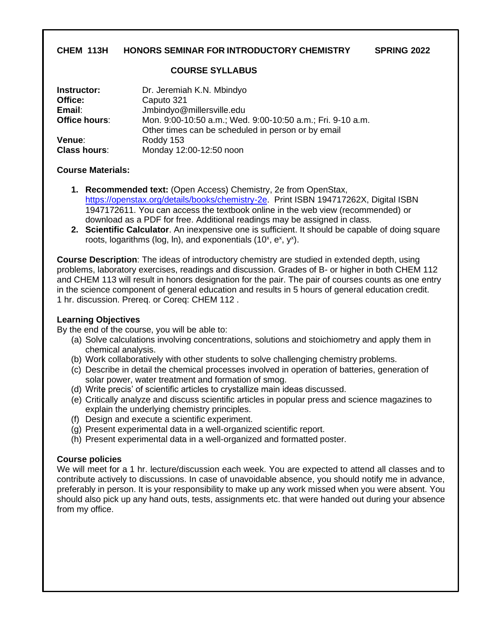# **CHEM 113H HONORS SEMINAR FOR INTRODUCTORY CHEMISTRY SPRING 2022**

#### **COURSE SYLLABUS**

| Instructor:         | Dr. Jeremiah K.N. Mbindyo                                                                                        |
|---------------------|------------------------------------------------------------------------------------------------------------------|
| Office:             | Caputo 321                                                                                                       |
| Email:              | Jmbindyo@millersville.edu                                                                                        |
| Office hours:       | Mon. 9:00-10:50 a.m.; Wed. 9:00-10:50 a.m.; Fri. 9-10 a.m.<br>Other times can be scheduled in person or by email |
| Venue:              | Roddy 153                                                                                                        |
| <b>Class hours:</b> | Monday 12:00-12:50 noon                                                                                          |

#### **Course Materials:**

- **1. Recommended text:** (Open Access) Chemistry, 2e from OpenStax, [https://openstax.org/details/books/chemistry-2e.](https://openstax.org/details/books/chemistry-2e) Print ISBN 194717262X, Digital ISBN 1947172611. You can access the textbook online in the web view (recommended) or download as a PDF for free. Additional readings may be assigned in class.
- **2. Scientific Calculator**. An inexpensive one is sufficient. It should be capable of doing square roots, logarithms (log, ln), and exponentials  $(10^x, e^x, y^x)$ .

**Course Description**: The ideas of introductory chemistry are studied in extended depth, using problems, laboratory exercises, readings and discussion. Grades of B- or higher in both CHEM 112 and CHEM 113 will result in honors designation for the pair. The pair of courses counts as one entry in the science component of general education and results in 5 hours of general education credit. 1 hr. discussion. Prereq. or Coreq: CHEM 112 .

# **Learning Objectives**

By the end of the course, you will be able to:

- (a) Solve calculations involving concentrations, solutions and stoichiometry and apply them in chemical analysis.
- (b) Work collaboratively with other students to solve challenging chemistry problems.
- (c) Describe in detail the chemical processes involved in operation of batteries, generation of solar power, water treatment and formation of smog.
- (d) Write precis' of scientific articles to crystallize main ideas discussed.
- (e) Critically analyze and discuss scientific articles in popular press and science magazines to explain the underlying chemistry principles.
- (f) Design and execute a scientific experiment.
- (g) Present experimental data in a well-organized scientific report.
- (h) Present experimental data in a well-organized and formatted poster.

# **Course policies**

We will meet for a 1 hr. lecture/discussion each week. You are expected to attend all classes and to contribute actively to discussions. In case of unavoidable absence, you should notify me in advance, preferably in person. It is your responsibility to make up any work missed when you were absent. You should also pick up any hand outs, tests, assignments etc. that were handed out during your absence from my office.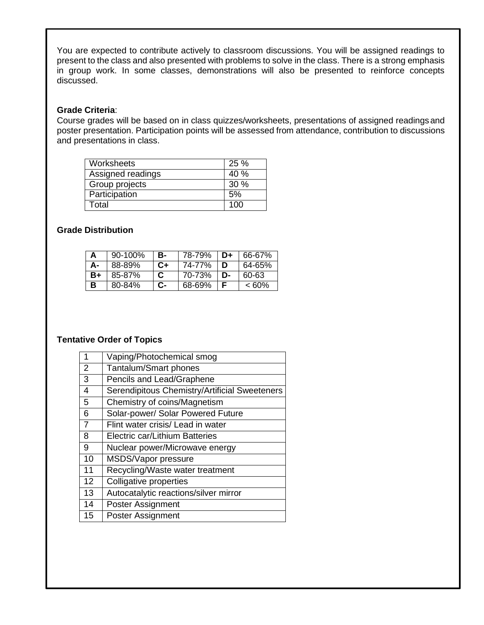You are expected to contribute actively to classroom discussions. You will be assigned readings to present to the class and also presented with problems to solve in the class. There is a strong emphasis in group work. In some classes, demonstrations will also be presented to reinforce concepts discussed.

#### **Grade Criteria**:

Course grades will be based on in class quizzes/worksheets, presentations of assigned readingsand poster presentation. Participation points will be assessed from attendance, contribution to discussions and presentations in class.

| Worksheets            | 25 % |
|-----------------------|------|
| Assigned readings     | 40%  |
| <b>Group projects</b> | 30%  |
| Participation         | 5%   |
| Total                 | 100  |

# **Grade Distribution**

|    | $90 - 100%$ | в-   | 78-79% | D≖ | 66-67% |
|----|-------------|------|--------|----|--------|
| А- | 88-89%      | $C+$ | 74-77% | D  | 64-65% |
| B+ | 85-87%      | C    | 70-73% | D- | 60-63  |
| B  | 80-84%      | r.-  | 68-69% | F  | < 60%  |

#### **Tentative Order of Topics**

| 1              | Vaping/Photochemical smog                     |
|----------------|-----------------------------------------------|
| 2              | Tantalum/Smart phones                         |
| 3              | Pencils and Lead/Graphene                     |
| 4              | Serendipitous Chemistry/Artificial Sweeteners |
| 5              | Chemistry of coins/Magnetism                  |
| 6              | Solar-power/ Solar Powered Future             |
| $\overline{7}$ | Flint water crisis/ Lead in water             |
| 8              | Electric car/Lithium Batteries                |
| 9              | Nuclear power/Microwave energy                |
| 10             | MSDS/Vapor pressure                           |
| 11             | Recycling/Waste water treatment               |
| 12             | Colligative properties                        |
| 13             | Autocatalytic reactions/silver mirror         |
| 14             | Poster Assignment                             |
| 15             | <b>Poster Assignment</b>                      |